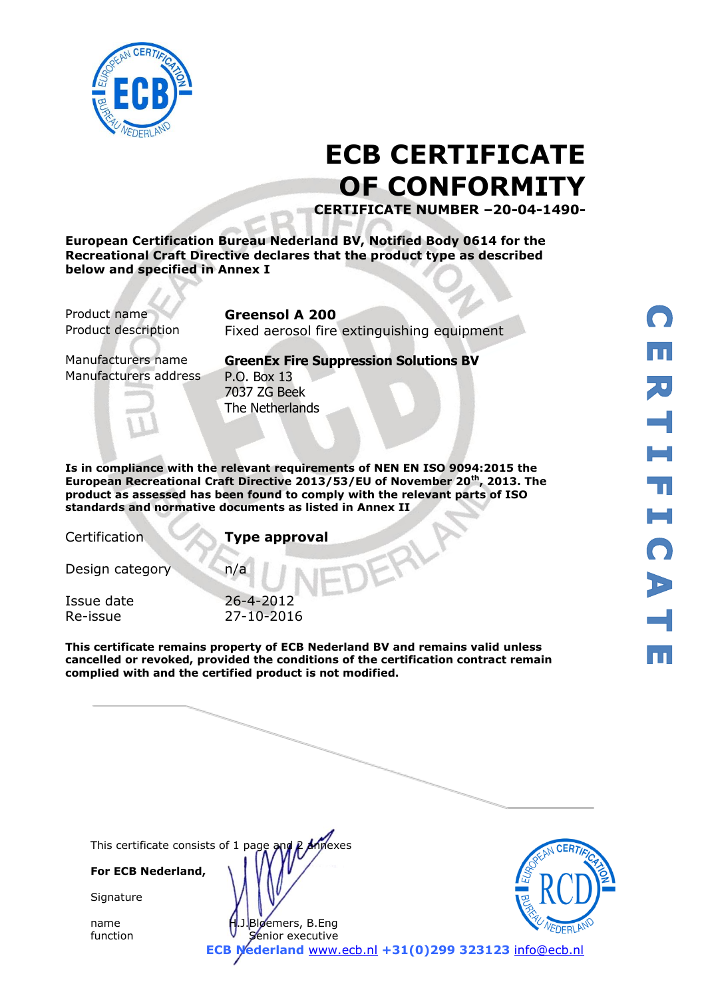

# **ECB CERTIFICATE OF CONFORMITY**

**CERTIFICATE NUMBER –20-04-1490-**

**European Certification Bureau Nederland BV, Notified Body 0614 for the Recreational Craft Directive declares that the product type as described below and specified in Annex I**

Product name **Greensol A 200**

Product description Fixed aerosol fire extinguishing equipment

Manufacturers address P.O. Box 13

Manufacturers name **GreenEx Fire Suppression Solutions BV** 7037 ZG Beek The Netherlands

**Is in compliance with the relevant requirements of NEN EN ISO 9094:2015 the European Recreational Craft Directive 2013/53/EU of November 20th, 2013. The product as assessed has been found to comply with the relevant parts of ISO standards and normative documents as listed in Annex II** 

Certification **Type approval**

Design category n/a

Issue date 26-4-2012 Re-issue 27-10-2016

**This certificate remains property of ECB Nederland BV and remains valid unless cancelled or revoked, provided the conditions of the certification contract remain complied with and the certified product is not modified.** 

This certificate consists of 1 page and P Annexes

**For ECB Nederland,**

**Signature** 

name H.J.Bloemers, B.Eng function **V** Senior executive



**ECB Nederland** [www.ecb.nl](http://www.ecb.nl/) **+31(0)299 323123** [info@ecb.nl](mailto:info@ecb.nl)